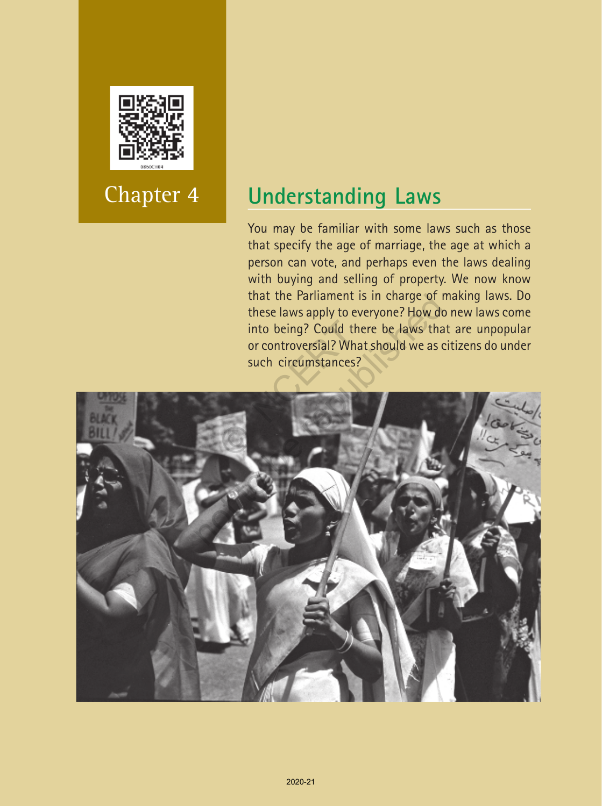

# Chapter 4

## **Understanding Laws**

You may be familiar with some laws such as those that specify the age of marriage, the age at which a person can vote, and perhaps even the laws dealing with buying and selling of property. We now know that the Parliament is in charge of making laws. Do these laws apply to everyone? How do new laws come into being? Could there be laws that are unpopular or controversial? What should we as citizens do under such circumstances?

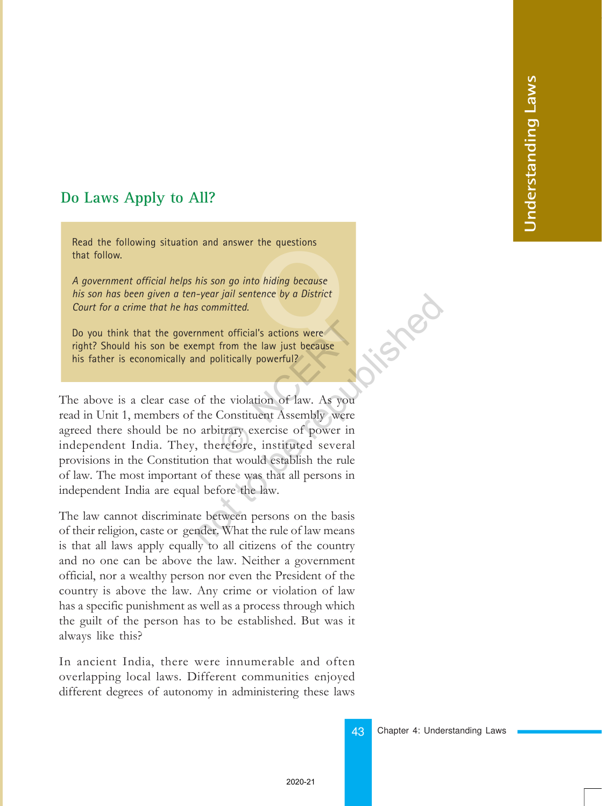## **Do Laws Apply to All?**

Read the following situation and answer the questions that follow.

o hiding because<br>ence by a District<br>'s actions were *A government official helps his son go into hiding because his son has been given a ten-year jail sentence by a District Court for a crime that he has committed.*

Do you think that the government official's actions were right? Should his son be exempt from the law just because his father is economically and politically powerful?

The above is a clear case of the violation of law. As you read in Unit 1, members of the Constituent Assembly were agreed there should be no arbitrary exercise of power in independent India. They, therefore, instituted several provisions in the Constitution that would establish the rule of law. The most important of these was that all persons in independent India are equal before the law. nt official's actions were<br>
from the law just because<br>
olitically powerful?<br>
ne violation of law. As you<br>
Constituent Assembly were<br>
itrary exercise of power in<br>
erefore, instituted several From the law just because<br>
is committed.<br>
The republished and politically powerful?<br>
of the violation of law. As you<br>
the Constituent Assembly were<br>
arbitrary exercise of power in<br>
the constituted several<br>
on that would es

The law cannot discriminate between persons on the basis of their religion, caste or gender. What the rule of law means is that all laws apply equally to all citizens of the country and no one can be above the law. Neither a government official, nor a wealthy person nor even the President of the country is above the law. Any crime or violation of law has a specific punishment as well as a process through which the guilt of the person has to be established. But was it always like this?

In ancient India, there were innumerable and often overlapping local laws. Different communities enjoyed different degrees of autonomy in administering these laws

43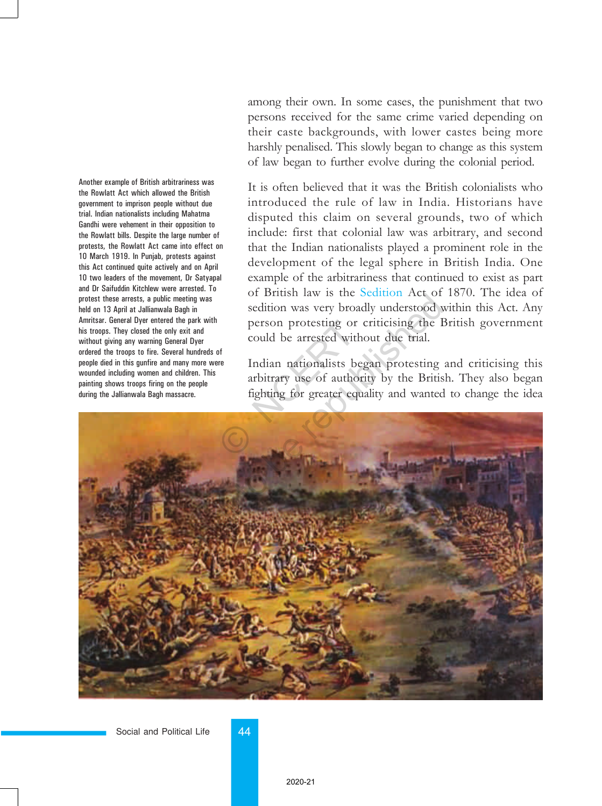Another example of British arbitrariness was the Rowlatt Act which allowed the British government to imprison people without due trial. Indian nationalists including Mahatma Gandhi were vehement in their opposition to the Rowlatt bills. Despite the large number of protests, the Rowlatt Act came into effect on 10 March 1919. In Punjab, protests against this Act continued quite actively and on April 10 two leaders of the movement, Dr Satyapal and Dr Saifuddin Kitchlew were arrested. To protest these arrests, a public meeting was held on 13 April at Jallianwala Bagh in Amritsar. General Dyer entered the park with his troops. They closed the only exit and without giving any warning General Dyer ordered the troops to fire. Several hundreds of people died in this gunfire and many more were wounded including women and children. This painting shows troops firing on the people during the Jallianwala Bagh massacre.

among their own. In some cases, the punishment that two persons received for the same crime varied depending on their caste backgrounds, with lower castes being more harshly penalised. This slowly began to change as this system of law began to further evolve during the colonial period.

It is often believed that it was the British colonialists who introduced the rule of law in India. Historians have disputed this claim on several grounds, two of which include: first that colonial law was arbitrary, and second that the Indian nationalists played a prominent role in the development of the legal sphere in British India. One example of the arbitrariness that continued to exist as part of British law is the Sedition Act of 1870. The idea of sedition was very broadly understood within this Act. Any person protesting or criticising the British government could be arrested without due trial.

Indian nationalists began protesting and criticising this arbitrary use of authority by the British. They also began fighting for greater equality and wanted to change the idea



Social and Political Life 44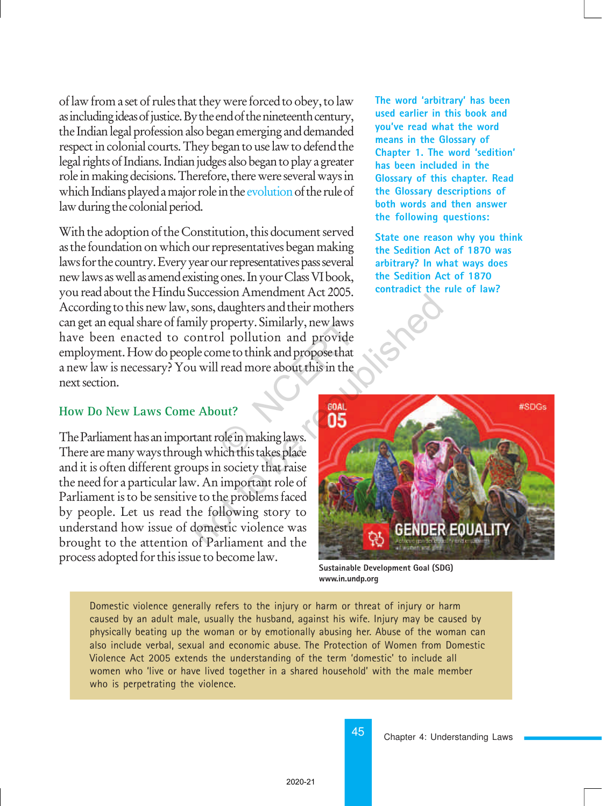of law from a set of rules that they were forced to obey, to law as including ideas of justice. By the end of the nineteenth century, the Indian legal profession also began emerging and demanded respect in colonial courts. They began to use law to defend the legal rights of Indians. Indian judges also began to play a greater role in making decisions. Therefore, there were several ways in which Indians played a major role in the evolution of the rule of law during the colonial period.

With the adoption of the Constitution, this document served as the foundation on which our representatives began making laws for the country. Every year our representatives pass several new laws as well as amend existing ones. In your Class VI book, you read about the Hindu Succession Amendment Act 2005. According to this new law, sons, daughters and their mothers can get an equal share of family property. Similarly, new laws have been enacted to control pollution and provide employment. How do people come to think and propose that a new law is necessary? You will read more about this in the next section. roperty. Similarly, new laws<br>
bl pollution and provide<br>
me to think and propose that<br>
l read more about this in the<br>
put?<br>
ole in making laws.<br>
ich this takes place **The word 'arbitrary' has been used earlier in this book and you've read what the word means in the Glossary of Chapter 1. The word 'sedition' has been included in the Glossary of this chapter. Read the Glossary descriptions of both words and then answer the following questions:**

**State one reason why you think the Sedition Act of 1870 was arbitrary? In what ways does the Sedition Act of 1870 contradict the rule of law?**

#### **How Do New Laws Come About?**

The Parliament has an important role in making laws. There are many ways through which this takes place and it is often different groups in society that raise the need for a particular law. An important role of Parliament is to be sensitive to the problems faced by people. Let us read the following story to understand how issue of domestic violence was brought to the attention of Parliament and the process adopted for this issue to become law.



**Sustainable Development Goal (SDG) www.in.undp.org**

Domestic violence generally refers to the injury or harm or threat of injury or harm caused by an adult male, usually the husband, against his wife. Injury may be caused by physically beating up the woman or by emotionally abusing her. Abuse of the woman can also include verbal, sexual and economic abuse. The Protection of Women from Domestic Violence Act 2005 extends the understanding of the term 'domestic' to include all women who 'live or have lived together in a shared household' with the male member who is perpetrating the violence.

45

Chapter 4: Understanding Laws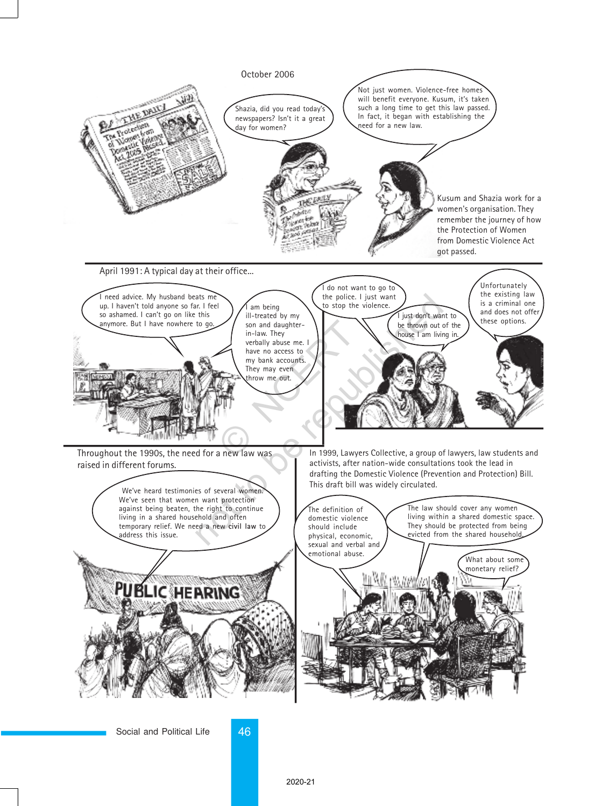

Social and Political Life 46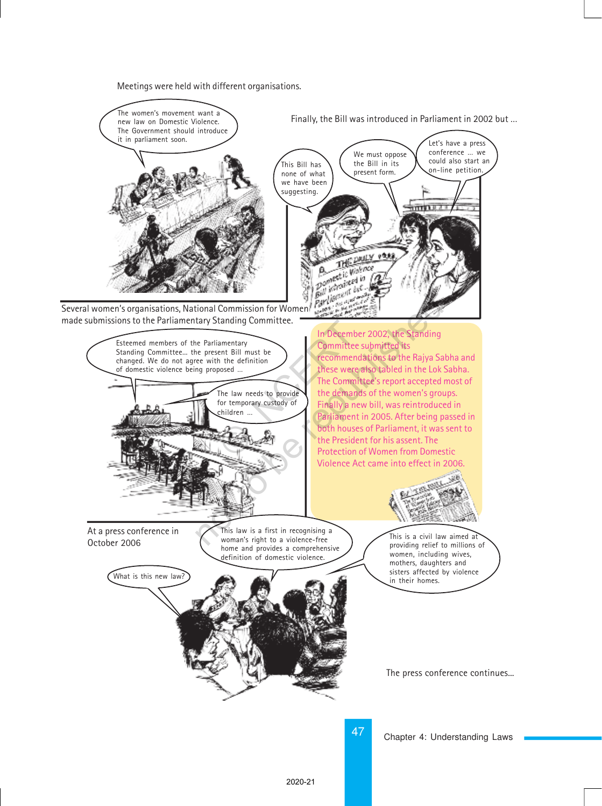Meetings were held with different organisations.

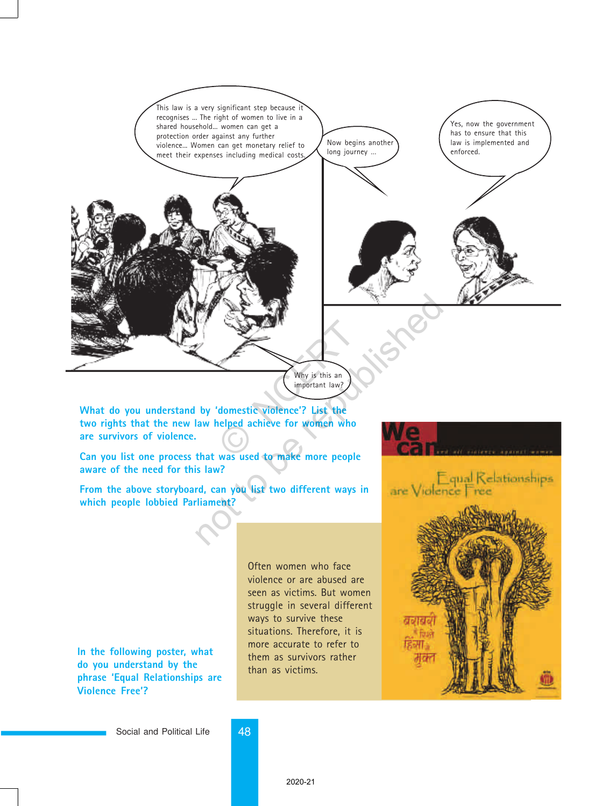

**What do you understand by 'domestic violence'? List the two rights that the new law helped achieve for women who are survivors of violence.**

**Can you list one process that was used to make more people aware of the need for this law?**

**From the above storyboard, can you list two different ways in which people lobbied Parliament?**

**In the following poster, what do you understand by the phrase 'Equal Relationships are Violence Free'?**

Often women who face violence or are abused are seen as victims. But women struggle in several different ways to survive these situations. Therefore, it is more accurate to refer to them as survivors rather than as victims.



Social and Political Life 48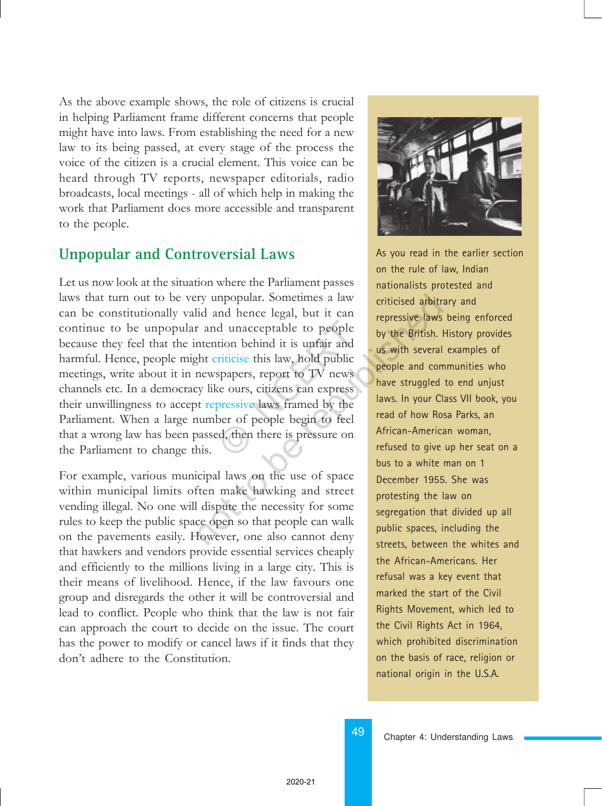As the above example shows, the role of citizens is crucial in helping Parliament frame different concerns that people might have into laws. From establishing the need for a new law to its being passed, at every stage of the process the voice of the citizen is a crucial element. This voice can be heard through TV reports, newspaper editorials, radio broadcasts, local meetings - all of which help in making the work that Parliament does more accessible and transparent to the people.

### **Unpopular and Controversial Laws**

Let us now look at the situation where the Parliament passes laws that turn out to be very unpopular. Sometimes a law can be constitutionally valid and hence legal, but it can continue to be unpopular and unacceptable to people because they feel that the intention behind it is unfair and harmful. Hence, people might criticise this law, hold public meetings, write about it in newspapers, report to TV news channels etc. In a democracy like ours, citizens can express their unwillingness to accept repressive laws framed by the Parliament. When a large number of people begin to feel that a wrong law has been passed, then there is pressure on the Parliament to change this. d unacceptable to people<br>tion behind it is unfair and<br>triticise this law, hold public<br>spapers, report to TV news<br>ce ours, citizens can express<br>pressive laws framed by the<br>ber of people begin to feel<br>ed, then there is press Proposed and hence legal, but it can<br>
id and hence legal, but it can<br>
and unacceptable to people<br>
intention behind it is unfair and<br>
ght criticise this law, hold public<br>
newspapers, report to TV news<br>
yeople and con<br>
repre

For example, various municipal laws on the use of space within municipal limits often make hawking and street vending illegal. No one will dispute the necessity for some rules to keep the public space open so that people can walk on the pavements easily. However, one also cannot deny that hawkers and vendors provide essential services cheaply and efficiently to the millions living in a large city. This is their means of livelihood. Hence, if the law favours one group and disregards the other it will be controversial and lead to conflict. People who think that the law is not fair can approach the court to decide on the issue. The court has the power to modify or cancel laws if it finds that they don't adhere to the Constitution.



As you read in the earlier section on the rule of law, Indian nationalists protested and criticised arbitrary and repressive laws being enforced by the British. History provides us with several examples of people and communities who have struggled to end unjust laws. In your Class VII book, you read of how Rosa Parks, an African-American woman, refused to give up her seat on a bus to a white man on 1 December 1955. She was protesting the law on segregation that divided up all public spaces, including the streets, between the whites and the African-Americans. Her refusal was a key event that marked the start of the Civil Rights Movement, which led to the Civil Rights Act in 1964, which prohibited discrimination on the basis of race, religion or national origin in the U.S.A.

Chapter 4: Understanding Laws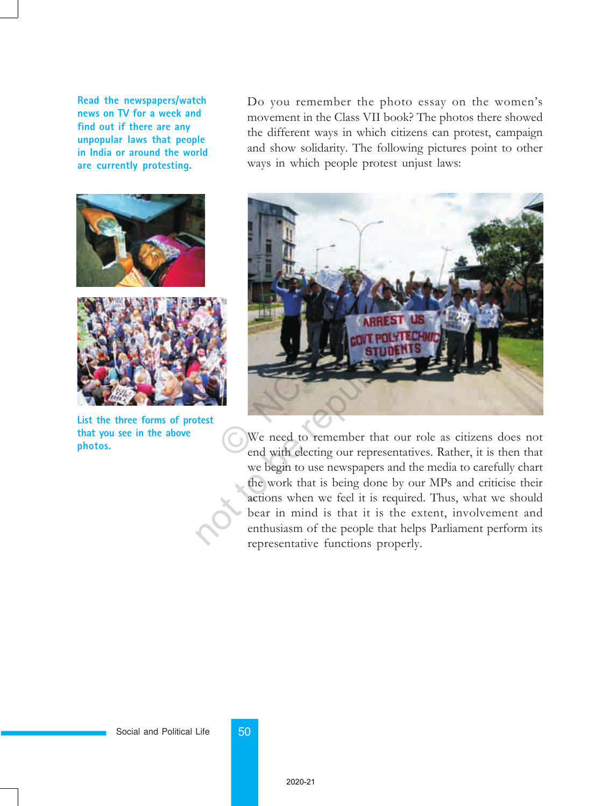**Read the newspapers/watch news on TV for a week and find out if there are any unpopular laws that people in India or around the world are currently protesting.**



**List the three forms of protest that you see in the above photos.**

Do you remember the photo essay on the women's movement in the Class VII book? The photos there showed the different ways in which citizens can protest, campaign and show solidarity. The following pictures point to other ways in which people protest unjust laws:



We need to remember that our role as citizens does not end with electing our representatives. Rather, it is then that we begin to use newspapers and the media to carefully chart the work that is being done by our MPs and criticise their actions when we feel it is required. Thus, what we should bear in mind is that it is the extent, involvement and enthusiasm of the people that helps Parliament perform its representative functions properly.